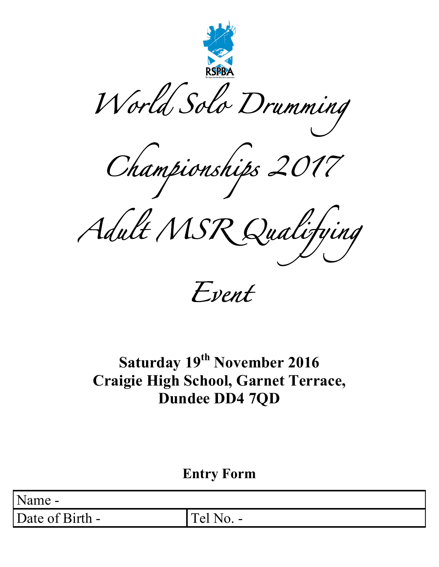

*World Solo Drumming* 

*Championships 2017* 

*Adult MSR Qualifying* 

*Event* 

### **Saturday 19th November 2016 Craigie High School, Garnet Terrace, Dundee DD4 7QD**

**Entry Form**

Name - Date of Birth - Tel No. -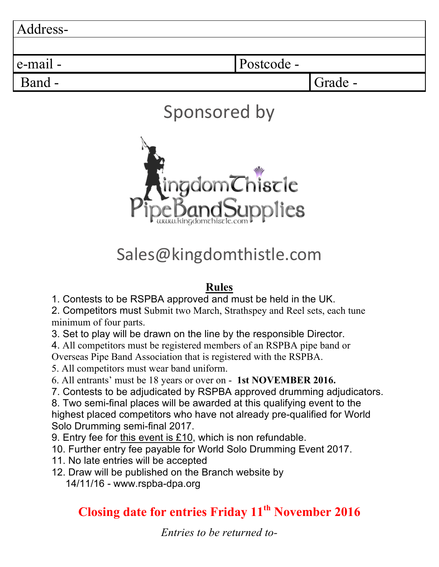| Address- |            |
|----------|------------|
|          |            |
| e-mail - | Postcode - |
| Band -   | Grade -    |

# Sponsored by



## Sales@kingdomthistle.com

#### **Rules**

1. Contests to be RSPBA approved and must be held in the UK.

2. Competitors must Submit two March, Strathspey and Reel sets, each tune minimum of four parts.

- 3. Set to play will be drawn on the line by the responsible Director.
- 4. All competitors must be registered members of an RSPBA pipe band or
- Overseas Pipe Band Association that is registered with the RSPBA.
- 5. All competitors must wear band uniform.
- 6. All entrants' must be 18 years or over on **1st NOVEMBER 2016.**
- 7. Contests to be adjudicated by RSPBA approved drumming adjudicators.

8. Two semi-final places will be awarded at this qualifying event to the highest placed competitors who have not already pre-qualified for World Solo Drumming semi-final 2017.

- 9. Entry fee for this event is £10, which is non refundable.
- 10. Further entry fee payable for World Solo Drumming Event 2017.
- 11. No late entries will be accepted
- 12. Draw will be published on the Branch website by 14/11/16 - www.rspba-dpa.org

#### **Closing date for entries Friday 11th November 2016**

*Entries to be returned to-*